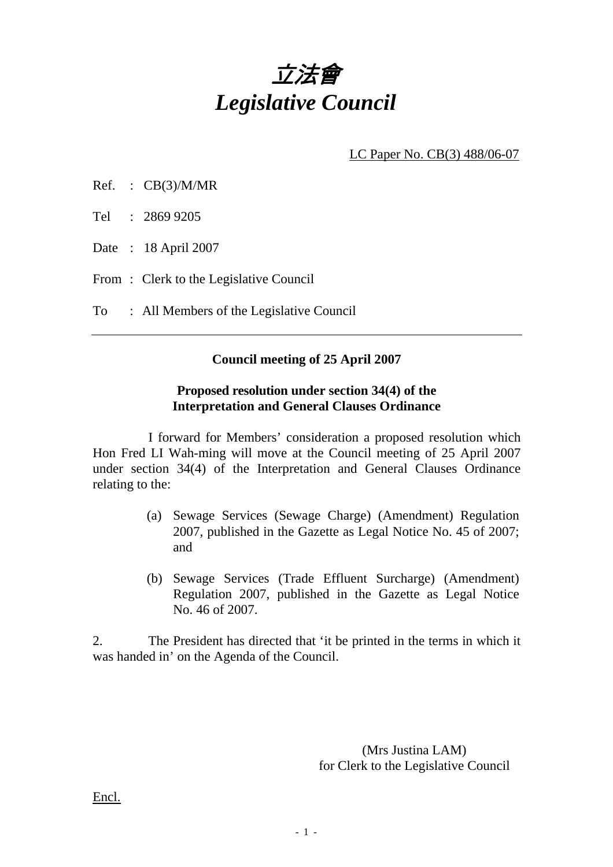

LC Paper No. CB(3) 488/06-07

- Ref. : CB(3)/M/MR
- Tel : 2869 9205
- Date : 18 April 2007
- From: Clerk to the Legislative Council
- To : All Members of the Legislative Council

## **Council meeting of 25 April 2007**

## **Proposed resolution under section 34(4) of the Interpretation and General Clauses Ordinance**

 I forward for Members' consideration a proposed resolution which Hon Fred LI Wah-ming will move at the Council meeting of 25 April 2007 under section 34(4) of the Interpretation and General Clauses Ordinance relating to the:

- (a) Sewage Services (Sewage Charge) (Amendment) Regulation 2007, published in the Gazette as Legal Notice No. 45 of 2007; and
- (b) Sewage Services (Trade Effluent Surcharge) (Amendment) Regulation 2007, published in the Gazette as Legal Notice No. 46 of 2007.

2. The President has directed that 'it be printed in the terms in which it was handed in' on the Agenda of the Council.

> (Mrs Justina LAM) for Clerk to the Legislative Council

Encl.